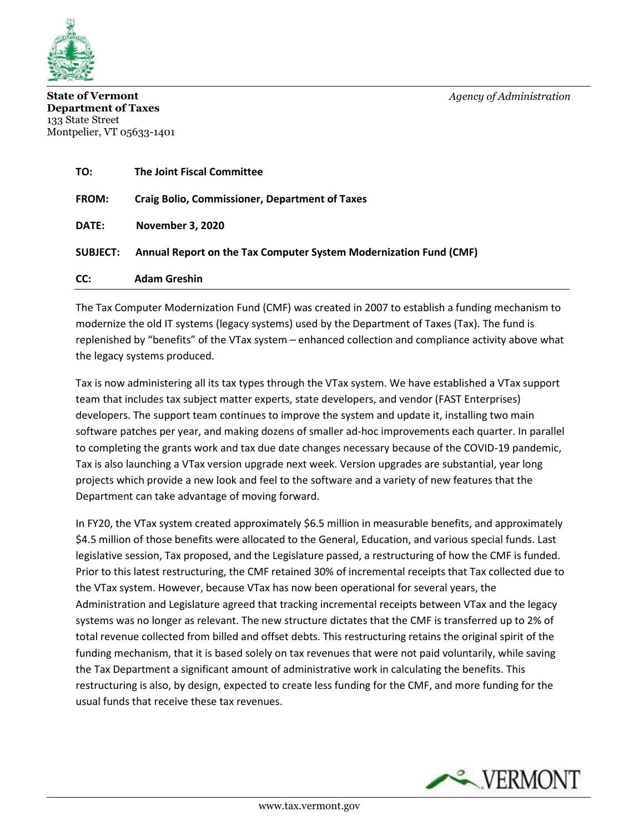

**State of Vermont** *Agency of Administration* **Department of Taxes** 133 State Street Montpelier, VT 05633-1401

| TO:             | <b>The Joint Fiscal Committee</b>                                 |
|-----------------|-------------------------------------------------------------------|
| <b>FROM:</b>    | <b>Craig Bolio, Commissioner, Department of Taxes</b>             |
| <b>DATE:</b>    | <b>November 3, 2020</b>                                           |
| <b>SUBJECT:</b> | Annual Report on the Tax Computer System Modernization Fund (CMF) |
| CC:             | <b>Adam Greshin</b>                                               |

The Tax Computer Modernization Fund (CMF) was created in 2007 to establish a funding mechanism to modernize the old IT systems (legacy systems) used by the Department of Taxes (Tax). The fund is replenished by "benefits" of the VTax system – enhanced collection and compliance activity above what the legacy systems produced.

Tax is now administering all its tax types through the VTax system. We have established a VTax support team that includes tax subject matter experts, state developers, and vendor (FAST Enterprises) developers. The support team continues to improve the system and update it, installing two main software patches per year, and making dozens of smaller ad-hoc improvements each quarter. In parallel to completing the grants work and tax due date changes necessary because of the COVID-19 pandemic, Tax is also launching a VTax version upgrade next week. Version upgrades are substantial, year long projects which provide a new look and feel to the software and a variety of new features that the Department can take advantage of moving forward.

In FY20, the VTax system created approximately \$6.5 million in measurable benefits, and approximately \$4.5 million of those benefits were allocated to the General, Education, and various special funds. Last legislative session, Tax proposed, and the Legislature passed, a restructuring of how the CMF is funded. Prior to this latest restructuring, the CMF retained 30% of incremental receipts that Tax collected due to the VTax system. However, because VTax has now been operational for several years, the Administration and Legislature agreed that tracking incremental receipts between VTax and the legacy systems was no longer as relevant. The new structure dictates that the CMF is transferred up to 2% of total revenue collected from billed and offset debts. This restructuring retains the original spirit of the funding mechanism, that it is based solely on tax revenues that were not paid voluntarily, while saving the Tax Department a significant amount of administrative work in calculating the benefits. This restructuring is also, by design, expected to create less funding for the CMF, and more funding for the usual funds that receive these tax revenues.